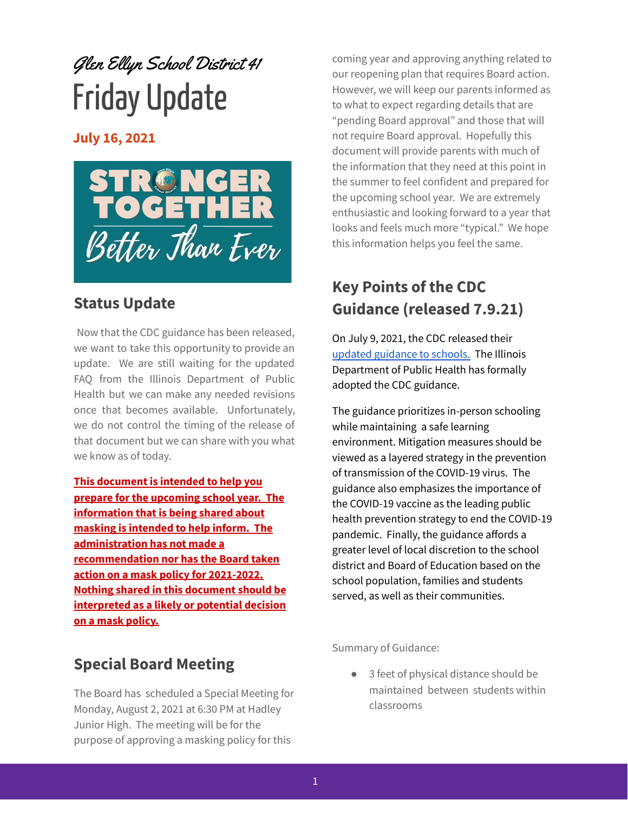# Glen Ellyn School District 41 Friday Update

**July 16, 2021**



### **Status Update**

Now that the CDC guidance has been released, we want to take this opportunity to provide an update. We are still waiting for the updated FAQ from the Illinois Department of Public Health but we can make any needed revisions once that becomes available. Unfortunately, we do not control the timing of the release of that document but we can share with you what we know as of today.

**This document is intended to help you prepare for the upcoming school year. The information that is being shared about masking is intended to help inform. The administration has not made a recommendation nor has the Board taken action on a mask policy for 2021-2022. Nothing shared in this document should be interpreted as a likely or potential decision on a mask policy.**

## **Special Board Meeting**

The Board has scheduled a Special Meeting for Monday, August 2, 2021 at 6:30 PM at Hadley Junior High. The meeting will be for the purpose of approving a masking policy for this

coming year and approving anything related to our reopening plan that requires Board action. However, we will keep our parents informed as to what to expect regarding details that are "pending Board approval" and those that will not require Board approval. Hopefully this document will provide parents with much of the information that they need at this point in the summer to feel confident and prepared for the upcoming school year. We are extremely enthusiastic and looking forward to a year that looks and feels much more "typical." We hope this information helps you feel the same.

## **Key Points of the CDC Guidance (released 7.9.21)**

On July 9, 2021, the CDC released their updated [guidance](https://www.cdc.gov/coronavirus/2019-ncov/community/schools-childcare/k-12-guidance.html?_cldee=ZXJpY2EubG9pYWNvbm9AY3VzZDIwMC5vcmc%3d&recipientid=contact-0716b9f89661eb11a8120022480a52c0-0e23782d35644252ba45e437a34ee851&esid=1dab4351-dee0-eb11-bacb-00224808b0d6) to schools. The Illinois Department of Public Health has formally adopted the CDC guidance.

The guidance prioritizes in-person schooling while maintaining a safe learning environment. Mitigation measures should be viewed as a layered strategy in the prevention of transmission of the COVID-19 virus. The guidance also emphasizes the importance of the COVID-19 vaccine as the leading public health prevention strategy to end the COVID-19 pandemic. Finally, the guidance affords a greater level of local discretion to the school district and Board of Education based on the school population, families and students served, as well as their communities.

Summary of Guidance:

● 3 feet of physical distance should be maintained between students within classrooms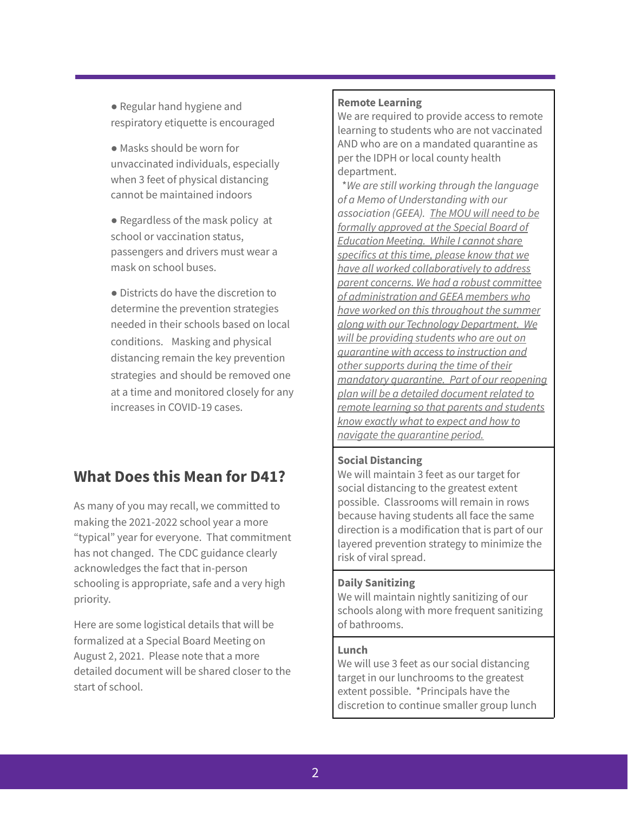● Regular hand hygiene and respiratory etiquette is encouraged

● Masks should be worn for unvaccinated individuals, especially when 3 feet of physical distancing cannot be maintained indoors

● Regardless of the mask policy at school or vaccination status, passengers and drivers must wear a mask on school buses.

● Districts do have the discretion to determine the prevention strategies needed in their schools based on local conditions. Masking and physical distancing remain the key prevention strategies and should be removed one at a time and monitored closely for any increases in COVID-19 cases.

## **What Does this Mean for D41?**

As many of you may recall, we committed to making the 2021-2022 school year a more "typical" year for everyone. That commitment has not changed. The CDC guidance clearly acknowledges the fact that in-person schooling is appropriate, safe and a very high priority.

Here are some logistical details that will be formalized at a Special Board Meeting on August 2, 2021. Please note that a more detailed document will be shared closer to the start of school.

#### **Remote Learning**

We are required to provide access to remote learning to students who are not vaccinated AND who are on a mandated quarantine as per the IDPH or local county health department.

\**We are still working through the language of a Memo of Understanding with our association (GEEA). The MOU will need to be formally approved at the Special Board of Education Meeting. While I cannot share specifics at this time, please know that we have all worked collaboratively to address parent concerns. We had a robust committee of administration and GEEA members who have worked on this throughout the summer along with our Technology Department. We will be providing students who are out on quarantine with access to instruction and other supports during the time of their mandatory quarantine. Part of our reopening plan will be a detailed document related to remote learning so that parents and students know exactly what to expect and how to navigate the quarantine period.*

#### **Social Distancing**

We will maintain 3 feet as our target for social distancing to the greatest extent possible. Classrooms will remain in rows because having students all face the same direction is a modification that is part of our layered prevention strategy to minimize the risk of viral spread.

#### **Daily Sanitizing**

We will maintain nightly sanitizing of our schools along with more frequent sanitizing of bathrooms.

#### **Lunch**

We will use 3 feet as our social distancing target in our lunchrooms to the greatest extent possible. \*Principals have the discretion to continue smaller group lunch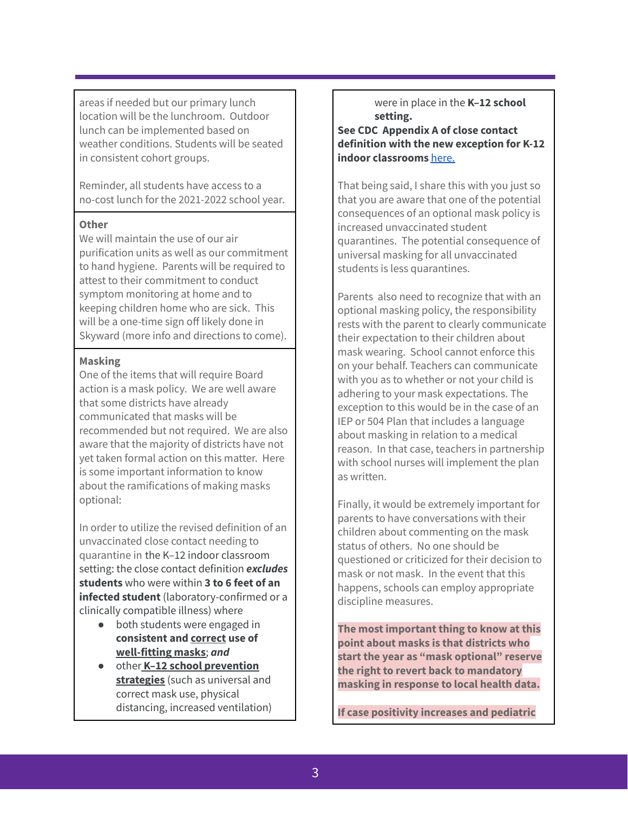areas if needed but our primary lunch location will be the lunchroom. Outdoor lunch can be implemented based on weather conditions. Students will be seated in consistent cohort groups.

Reminder, all students have access to a no-cost lunch for the 2021-2022 school year.

#### **Other**

We will maintain the use of our air purification units as well as our commitment to hand hygiene. Parents will be required to attest to their commitment to conduct symptom monitoring at home and to keeping children home who are sick. This will be a one-time sign off likely done in Skyward (more info and directions to come).

#### **Masking**

One of the items that will require Board action is a mask policy. We are well aware that some districts have already communicated that masks will be recommended but not required. We are also aware that the majority of districts have not yet taken formal action on this matter. Here is some important information to know about the ramifications of making masks optional:

In order to utilize the revised definition of an unvaccinated close contact needing to quarantine in the K–12 indoor classroom setting: the close contact definition *excludes* **students** who were within **3 to 6 feet of an infected student** (laboratory-confirmed or a clinically compatible illness) where

- both students were engaged in **consistent and correct use of well-fitting masks**; *and*
- other **K–12 school prevention strategies** (such as universal and correct mask use, physical distancing, increased ventilation)

#### were in place in the **K–12 school setting.**

**See CDC Appendix A of close contact definition with the new exception for K-12 indoor classrooms** [here.](https://www.cdc.gov/coronavirus/2019-ncov/php/contact-tracing/contact-tracing-plan/appendix.html#contact)

That being said, I share this with you just so that you are aware that one of the potential consequences of an optional mask policy is increased unvaccinated student quarantines. The potential consequence of universal masking for all unvaccinated students is less quarantines.

Parents also need to recognize that with an optional masking policy, the responsibility rests with the parent to clearly communicate their expectation to their children about mask wearing. School cannot enforce this on your behalf. Teachers can communicate with you as to whether or not your child is adhering to your mask expectations. The exception to this would be in the case of an IEP or 504 Plan that includes a language about masking in relation to a medical reason. In that case, teachers in partnership with school nurses will implement the plan as written.

Finally, it would be extremely important for parents to have conversations with their children about commenting on the mask status of others. No one should be questioned or criticized for their decision to mask or not mask. In the event that this happens, schools can employ appropriate discipline measures.

**The most important thing to know at this point about masks is that districts who start the year as "mask optional" reserve the right to revert back to mandatory masking in response to local health data.**

**If case positivity increases and pediatric**